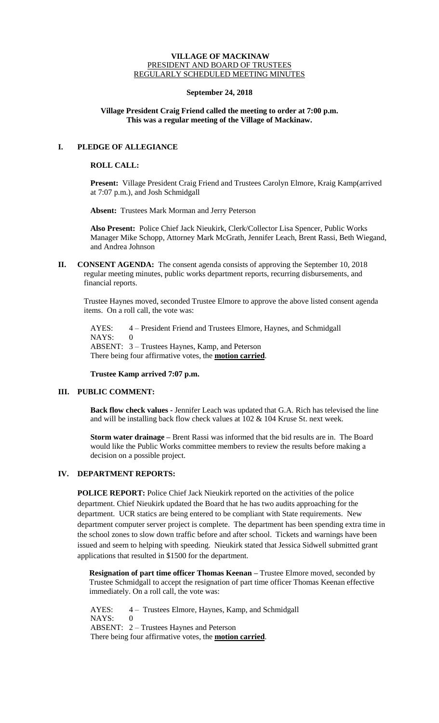#### **VILLAGE OF MACKINAW** PRESIDENT AND BOARD OF TRUSTEES REGULARLY SCHEDULED MEETING MINUTES

### **September 24, 2018**

# **Village President Craig Friend called the meeting to order at 7:00 p.m. This was a regular meeting of the Village of Mackinaw.**

# **I. PLEDGE OF ALLEGIANCE**

### **ROLL CALL:**

**Present:** Village President Craig Friend and Trustees Carolyn Elmore, Kraig Kamp(arrived at 7:07 p.m.), and Josh Schmidgall

**Absent:** Trustees Mark Morman and Jerry Peterson

**Also Present:** Police Chief Jack Nieukirk, Clerk/Collector Lisa Spencer, Public Works Manager Mike Schopp, Attorney Mark McGrath, Jennifer Leach, Brent Rassi, Beth Wiegand, and Andrea Johnson

**II. CONSENT AGENDA:** The consent agenda consists of approving the September 10, 2018 regular meeting minutes, public works department reports, recurring disbursements, and financial reports.

Trustee Haynes moved, seconded Trustee Elmore to approve the above listed consent agenda items. On a roll call, the vote was:

AYES: 4 – President Friend and Trustees Elmore, Haynes, and Schmidgall NAYS: 0 ABSENT: 3 – Trustees Haynes, Kamp, and Peterson There being four affirmative votes, the **motion carried**.

# **Trustee Kamp arrived 7:07 p.m.**

# **III. PUBLIC COMMENT:**

**Back flow check values -** Jennifer Leach was updated that G.A. Rich has televised the line and will be installing back flow check values at 102 & 104 Kruse St. next week.

**Storm water drainage** – Brent Rassi was informed that the bid results are in. The Board would like the Public Works committee members to review the results before making a decision on a possible project.

# **IV. DEPARTMENT REPORTS:**

**POLICE REPORT:** Police Chief Jack Nieukirk reported on the activities of the police department. Chief Nieukirk updated the Board that he has two audits approaching for the department. UCR statics are being entered to be compliant with State requirements. New department computer server project is complete. The department has been spending extra time in the school zones to slow down traffic before and after school. Tickets and warnings have been issued and seem to helping with speeding. Nieukirk stated that Jessica Sidwell submitted grant applications that resulted in \$1500 for the department.

**Resignation of part time officer Thomas Keenan –** Trustee Elmore moved, seconded by Trustee Schmidgall to accept the resignation of part time officer Thomas Keenan effective immediately. On a roll call, the vote was:

AYES: 4 – Trustees Elmore, Haynes, Kamp, and Schmidgall  $NAYS: 0$ ABSENT: 2 – Trustees Haynes and Peterson There being four affirmative votes, the **motion carried**.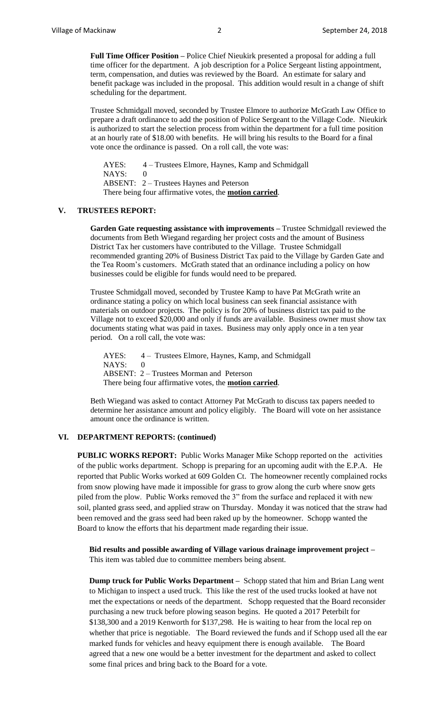**Full Time Officer Position –** Police Chief Nieukirk presented a proposal for adding a full time officer for the department. A job description for a Police Sergeant listing appointment, term, compensation, and duties was reviewed by the Board. An estimate for salary and benefit package was included in the proposal. This addition would result in a change of shift scheduling for the department.

Trustee Schmidgall moved, seconded by Trustee Elmore to authorize McGrath Law Office to prepare a draft ordinance to add the position of Police Sergeant to the Village Code. Nieukirk is authorized to start the selection process from within the department for a full time position at an hourly rate of \$18.00 with benefits. He will bring his results to the Board for a final vote once the ordinance is passed. On a roll call, the vote was:

AYES: 4 – Trustees Elmore, Haynes, Kamp and Schmidgall NAYS: 0 ABSENT: 2 – Trustees Haynes and Peterson There being four affirmative votes, the **motion carried**.

#### **V. TRUSTEES REPORT:**

**Garden Gate requesting assistance with improvements –** Trustee Schmidgall reviewed the documents from Beth Wiegand regarding her project costs and the amount of Business District Tax her customers have contributed to the Village. Trustee Schmidgall recommended granting 20% of Business District Tax paid to the Village by Garden Gate and the Tea Room's customers. McGrath stated that an ordinance including a policy on how businesses could be eligible for funds would need to be prepared.

Trustee Schmidgall moved, seconded by Trustee Kamp to have Pat McGrath write an ordinance stating a policy on which local business can seek financial assistance with materials on outdoor projects. The policy is for 20% of business district tax paid to the Village not to exceed \$20,000 and only if funds are available. Business owner must show tax documents stating what was paid in taxes. Business may only apply once in a ten year period. On a roll call, the vote was:

AYES: 4 – Trustees Elmore, Haynes, Kamp, and Schmidgall  $NAYS: 0$ ABSENT: 2 – Trustees Morman and Peterson There being four affirmative votes, the **motion carried**.

Beth Wiegand was asked to contact Attorney Pat McGrath to discuss tax papers needed to determine her assistance amount and policy eligibly. The Board will vote on her assistance amount once the ordinance is written.

#### **VI. DEPARTMENT REPORTS: (continued)**

**PUBLIC WORKS REPORT:** Public Works Manager Mike Schopp reported on the activities of the public works department. Schopp is preparing for an upcoming audit with the E.P.A. He reported that Public Works worked at 609 Golden Ct. The homeowner recently complained rocks from snow plowing have made it impossible for grass to grow along the curb where snow gets piled from the plow. Public Works removed the 3" from the surface and replaced it with new soil, planted grass seed, and applied straw on Thursday. Monday it was noticed that the straw had been removed and the grass seed had been raked up by the homeowner. Schopp wanted the Board to know the efforts that his department made regarding their issue.

**Bid results and possible awarding of Village various drainage improvement project –** This item was tabled due to committee members being absent.

**Dump truck for Public Works Department –** Schopp stated that him and Brian Lang went to Michigan to inspect a used truck. This like the rest of the used trucks looked at have not met the expectations or needs of the department. Schopp requested that the Board reconsider purchasing a new truck before plowing season begins. He quoted a 2017 Peterbilt for \$138,300 and a 2019 Kenworth for \$137,298. He is waiting to hear from the local rep on whether that price is negotiable. The Board reviewed the funds and if Schopp used all the ear marked funds for vehicles and heavy equipment there is enough available. The Board agreed that a new one would be a better investment for the department and asked to collect some final prices and bring back to the Board for a vote.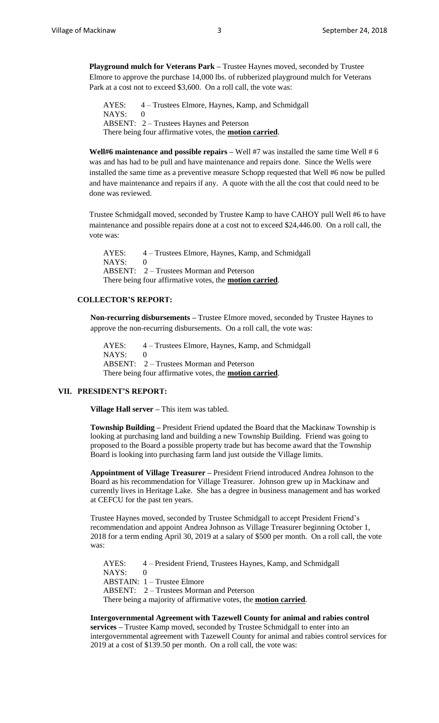**Playground mulch for Veterans Park –** Trustee Haynes moved, seconded by Trustee Elmore to approve the purchase 14,000 lbs. of rubberized playground mulch for Veterans Park at a cost not to exceed \$3,600. On a roll call, the vote was:

AYES: 4 – Trustees Elmore, Haynes, Kamp, and Schmidgall  $NAYS: 0$ ABSENT: 2 – Trustees Haynes and Peterson There being four affirmative votes, the **motion carried**.

**Well#6 maintenance and possible repairs –** Well #7 was installed the same time Well # 6 was and has had to be pull and have maintenance and repairs done. Since the Wells were installed the same time as a preventive measure Schopp requested that Well #6 now be pulled and have maintenance and repairs if any. A quote with the all the cost that could need to be done was reviewed.

Trustee Schmidgall moved, seconded by Trustee Kamp to have CAHOY pull Well #6 to have maintenance and possible repairs done at a cost not to exceed \$24,446.00. On a roll call, the vote was:

AYES: 4 – Trustees Elmore, Haynes, Kamp, and Schmidgall NAYS: 0 ABSENT: 2 – Trustees Morman and Peterson There being four affirmative votes, the **motion carried**.

## **COLLECTOR'S REPORT:**

**Non-recurring disbursements –** Trustee Elmore moved, seconded by Trustee Haynes to approve the non-recurring disbursements. On a roll call, the vote was:

AYES: 4 – Trustees Elmore, Haynes, Kamp, and Schmidgall NAYS: 0 ABSENT: 2 – Trustees Morman and Peterson There being four affirmative votes, the **motion carried**.

### **VII. PRESIDENT'S REPORT:**

**Village Hall server –** This item was tabled.

**Township Building –** President Friend updated the Board that the Mackinaw Township is looking at purchasing land and building a new Township Building. Friend was going to proposed to the Board a possible property trade but has become award that the Township Board is looking into purchasing farm land just outside the Village limits.

**Appointment of Village Treasurer –** President Friend introduced Andrea Johnson to the Board as his recommendation for Village Treasurer. Johnson grew up in Mackinaw and currently lives in Heritage Lake. She has a degree in business management and has worked at CEFCU for the past ten years.

Trustee Haynes moved, seconded by Trustee Schmidgall to accept President Friend's recommendation and appoint Andrea Johnson as Village Treasurer beginning October 1, 2018 for a term ending April 30, 2019 at a salary of \$500 per month. On a roll call, the vote was:

AYES: 4 – President Friend, Trustees Haynes, Kamp, and Schmidgall  $NAYS: 0$ ABSTAIN: 1 – Trustee Elmore ABSENT: 2 – Trustees Morman and Peterson There being a majority of affirmative votes, the **motion carried**.

**Intergovernmental Agreement with Tazewell County for animal and rabies control services –** Trustee Kamp moved, seconded by Trustee Schmidgall to enter into an intergovernmental agreement with Tazewell County for animal and rabies control services for 2019 at a cost of \$139.50 per month. On a roll call, the vote was: